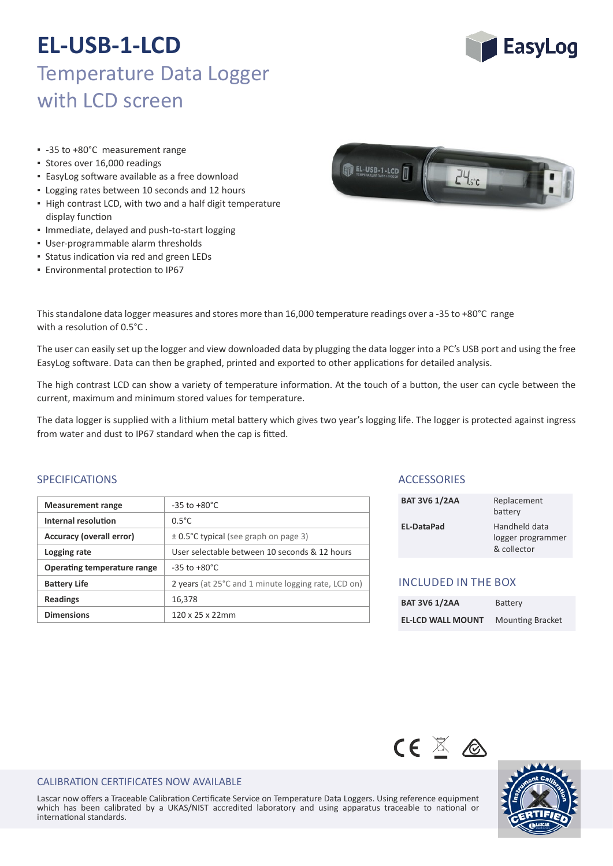

- -35 to +80°C measurement range
- Stores over 16,000 readings
- EasyLog so�ware available as a free download
- Logging rates between 10 seconds and 12 hours
- High contrast LCD, with two and a half digit temperature display function
- Immediate, delayed and push‐to‐start logging
- User‐programmable alarm thresholds
- **Status indication via red and green LEDs**
- **Environmental protection to IP67**



This standalone data logger measures and stores more than 16,000 temperature readings over a -35 to +80°C range with a resolution of  $0.5^{\circ}$ C.

The user can easily set up the logger and view downloaded data by plugging the data logger into a PC's USB port and using the free EasyLog software. Data can then be graphed, printed and exported to other applications for detailed analysis.

The high contrast LCD can show a variety of temperature information. At the touch of a button, the user can cycle between the current, maximum and minimum stored values for temperature.

The data logger is supplied with a lithium metal battery which gives two year's logging life. The logger is protected against ingress from water and dust to IP67 standard when the cap is fitted.

### SPECIFICATIONS

| <b>Measurement range</b>    | $-35$ to $+80^{\circ}$ C                            |
|-----------------------------|-----------------------------------------------------|
| Internal resolution         | $0.5^{\circ}$ C                                     |
| Accuracy (overall error)    | $\pm$ 0.5°C typical (see graph on page 3)           |
| Logging rate                | User selectable between 10 seconds & 12 hours       |
| Operating temperature range | $-35$ to $+80^{\circ}$ C                            |
| <b>Battery Life</b>         | 2 years (at 25°C and 1 minute logging rate, LCD on) |
| <b>Readings</b>             | 16,378                                              |
| <b>Dimensions</b>           | $120 \times 25 \times 22$ mm                        |

### **ACCESSORIES**

| <b>BAT 3V6 1/2AA</b> | Replacement<br>battery          |
|----------------------|---------------------------------|
| <b>EL-DataPad</b>    | Handheld data<br>Logger program |

battery logger programmer & collector

### INCLUDED IN THE BOX

| <b>BAT 3V6 1/2AA</b>     | <b>Battery</b>          |
|--------------------------|-------------------------|
| <b>EL-LCD WALL MOUNT</b> | <b>Mounting Bracket</b> |





#### CALIBRATION CERTIFICATES NOW AVAILABLE

Lascar now offers a Traceable Calibration Certificate Service on Temperature Data Loggers. Using reference equipment which has been calibrated by a UKAS/NIST accredited laboratory and using apparatus traceable to national or international standards.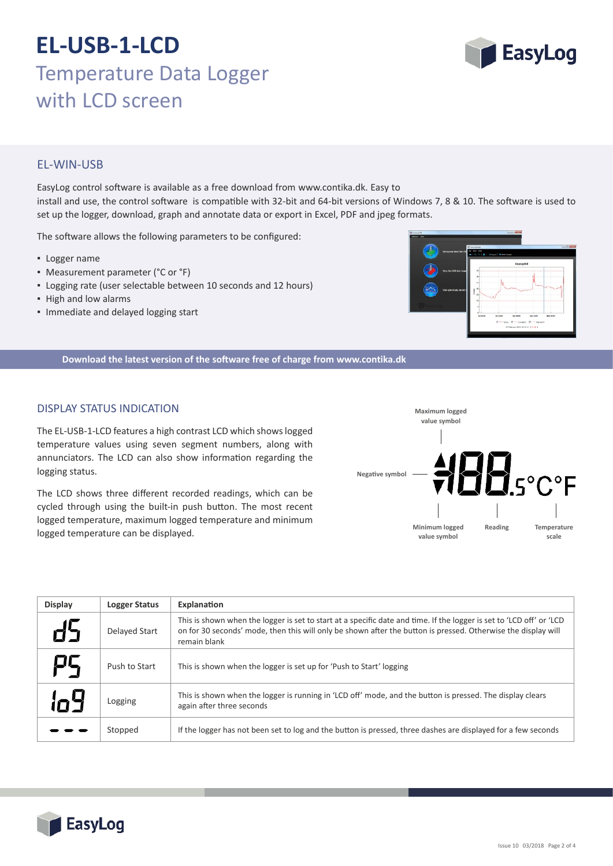

## EL‐WIN‐USB

EasyLog control so�ware is available as a free download from www.contika.dk. Easy to install and use, the control software is compatible with 32-bit and 64-bit versions of Windows 7, 8 & 10. The software is used to set up the logger, download, graph and annotate data or export in Excel, PDF and jpeg formats.

The software allows the following parameters to be configured:

- Logger name
- Measurement parameter (°C or °F)
- Logging rate (user selectable between 10 seconds and 12 hours)
- High and low alarms
- Immediate and delayed logging start



**Download the latest version of the so�ware free of charge from www.contika.dk**

### DISPLAY STATUS INDICATION

The EL‐USB‐1‐LCD features a high contrast LCD which shows logged temperature values using seven segment numbers, along with annunciators. The LCD can also show information regarding the logging status.

The LCD shows three different recorded readings, which can be cycled through using the built-in push button. The most recent logged temperature, maximum logged temperature and minimum logged temperature can be displayed.



| <b>Display</b> | <b>Logger Status</b> | Explanation                                                                                                                                                                                                                                           |
|----------------|----------------------|-------------------------------------------------------------------------------------------------------------------------------------------------------------------------------------------------------------------------------------------------------|
|                | Delayed Start        | This is shown when the logger is set to start at a specific date and time. If the logger is set to 'LCD off' or 'LCD<br>on for 30 seconds' mode, then this will only be shown after the button is pressed. Otherwise the display will<br>remain blank |
| Ρ5             | Push to Start        | This is shown when the logger is set up for 'Push to Start' logging                                                                                                                                                                                   |
| n4             | Logging              | This is shown when the logger is running in 'LCD off' mode, and the button is pressed. The display clears<br>again after three seconds                                                                                                                |
|                | Stopped              | If the logger has not been set to log and the button is pressed, three dashes are displayed for a few seconds                                                                                                                                         |

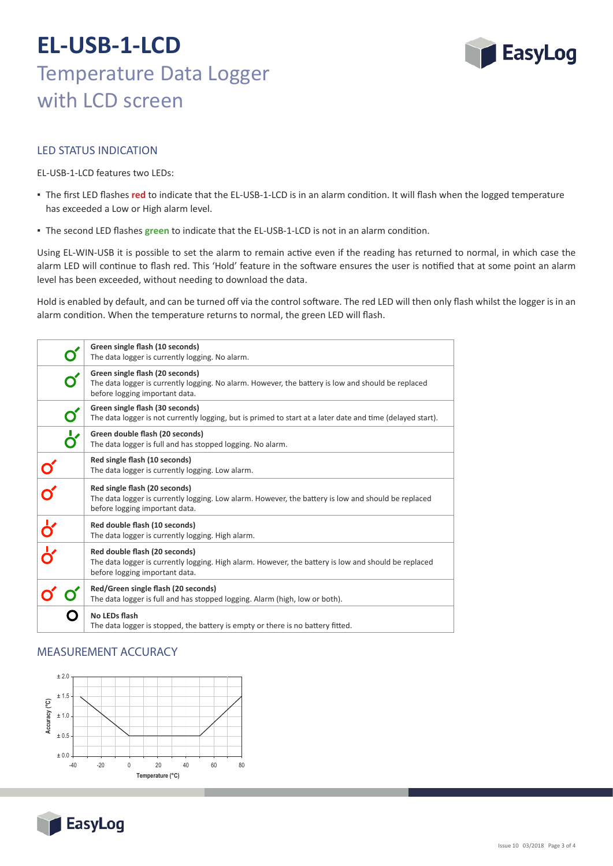

### LED STATUS INDICATION

EL‐USB‐1‐LCD features two LEDs:

- The first LED flashes red to indicate that the EL-USB-1-LCD is in an alarm condition. It will flash when the logged temperature has exceeded a Low or High alarm level.
- **.** The second LED flashes green to indicate that the EL-USB-1-LCD is not in an alarm condition.

Using EL-WIN-USB it is possible to set the alarm to remain active even if the reading has returned to normal, in which case the alarm LED will continue to flash red. This 'Hold' feature in the software ensures the user is notified that at some point an alarm level has been exceeded, without needing to download the data.

Hold is enabled by default, and can be turned off via the control software. The red LED will then only flash whilst the logger is in an alarm condition. When the temperature returns to normal, the green LED will flash.

|                    | Green single flash (10 seconds)<br>The data logger is currently logging. No alarm.                                                                                      |
|--------------------|-------------------------------------------------------------------------------------------------------------------------------------------------------------------------|
|                    | Green single flash (20 seconds)<br>The data logger is currently logging. No alarm. However, the battery is low and should be replaced<br>before logging important data. |
| O                  | Green single flash (30 seconds)<br>The data logger is not currently logging, but is primed to start at a later date and time (delayed start).                           |
| O                  | Green double flash (20 seconds)<br>The data logger is full and has stopped logging. No alarm.                                                                           |
|                    | Red single flash (10 seconds)<br>The data logger is currently logging. Low alarm.                                                                                       |
|                    | Red single flash (20 seconds)<br>The data logger is currently logging. Low alarm. However, the battery is low and should be replaced<br>before logging important data.  |
| $\frac{1}{\alpha}$ | Red double flash (10 seconds)<br>The data logger is currently logging. High alarm.                                                                                      |
|                    | Red double flash (20 seconds)<br>The data logger is currently logging. High alarm. However, the battery is low and should be replaced<br>before logging important data. |
|                    | Red/Green single flash (20 seconds)<br>The data logger is full and has stopped logging. Alarm (high, low or both).                                                      |
|                    | No LEDs flash<br>The data logger is stopped, the battery is empty or there is no battery fitted.                                                                        |

### MEASUREMENT ACCURACY